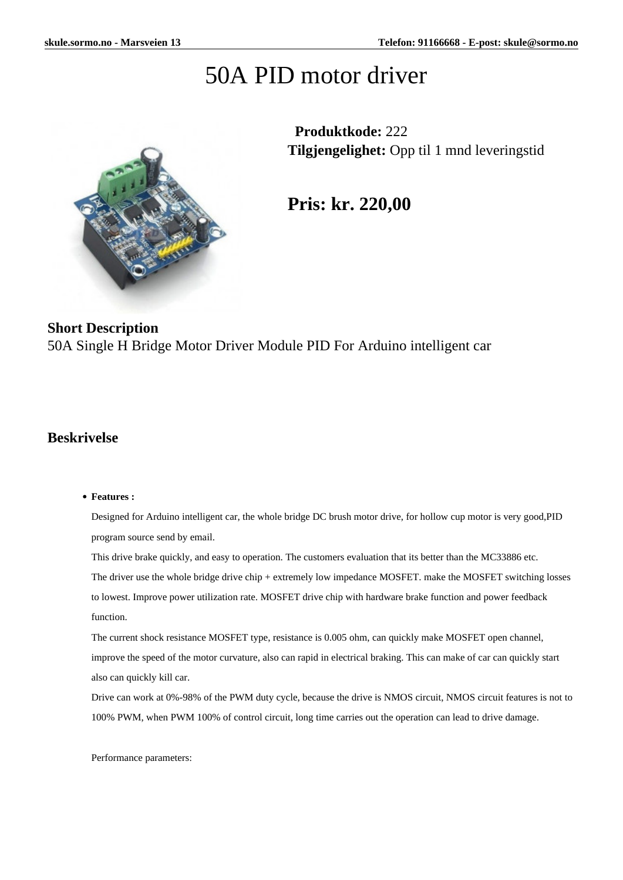## 50A PID motor driver



 **Produktkode:** 222 **Tilgjengelighet:** Opp til 1 mnd leveringstid

**Pris: kr. 220,00**

## **Short Description**

50A Single H Bridge Motor Driver Module PID For Arduino intelligent car

## **Beskrivelse**

## **Features :**

Designed for Arduino intelligent car, the whole bridge DC brush motor drive, for hollow cup motor is very good,PID program source send by email.

This drive brake quickly, and easy to operation. The customers evaluation that its better than the MC33886 etc. The driver use the whole bridge drive chip + extremely low impedance MOSFET. make the MOSFET switching losses to lowest. Improve power utilization rate. MOSFET drive chip with hardware brake function and power feedback function.

The current shock resistance MOSFET type, resistance is 0.005 ohm, can quickly make MOSFET open channel, improve the speed of the motor curvature, also can rapid in electrical braking. This can make of car can quickly start also can quickly kill car.

Drive can work at 0%-98% of the PWM duty cycle, because the drive is NMOS circuit, NMOS circuit features is not to 100% PWM, when PWM 100% of control circuit, long time carries out the operation can lead to drive damage.

Performance parameters: